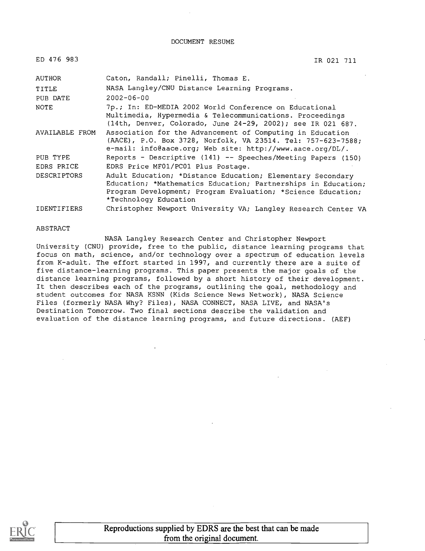DOCUMENT RESUME

| ED 476 983         | IR 021 711                                                                                                                                                                                                           |
|--------------------|----------------------------------------------------------------------------------------------------------------------------------------------------------------------------------------------------------------------|
| AUTHOR             | Caton, Randall; Pinelli, Thomas E.                                                                                                                                                                                   |
| TITLE              | NASA Langley/CNU Distance Learning Programs.                                                                                                                                                                         |
| PUB DATE           | $2002 - 06 - 00$                                                                                                                                                                                                     |
| NOTE               | 7p.; In: ED-MEDIA 2002 World Conference on Educational<br>Multimedia, Hypermedia & Telecommunications. Proceedings<br>(14th, Denver, Colorado, June 24-29, 2002); see IR 021 687.                                    |
| AVAILABLE FROM     | Association for the Advancement of Computing in Education<br>(AACE), P.O. Box 3728, Norfolk, VA 23514. Tel: 757-623-7588;<br>e-mail: info@aace.org; Web site: http://www.aace.org/DL/.                               |
| PUB TYPE           | Reports - Descriptive (141) -- Speeches/Meeting Papers (150)                                                                                                                                                         |
| EDRS PRICE         | EDRS Price MF01/PC01 Plus Postage.                                                                                                                                                                                   |
| <b>DESCRIPTORS</b> | Adult Education; *Distance Education; Elementary Secondary<br>Education; *Mathematics Education; Partnerships in Education;<br>Program Development; Program Evaluation; *Science Education;<br>*Technology Education |

IDENTIFIERS Christopher Newport University VA; Langley Research Center VA

#### ABSTRACT

NASA Langley Research Center and Christopher Newport University (CNU) provide, free to the public, distance learning programs that focus on math, science, and/or technology over a spectrum of education levels from K-adult. The effort started in 1997, and currently there are a suite of five distance-learning programs. This paper presents the major goals of the distance learning programs, followed by a short history of their development. It then describes each of the programs, outlining the goal, methodology and student outcomes for NASA KSNN (Kids Science News Network), NASA Science Files (formerly NASA Why? Files), NASA CONNECT, NASA LIVE, and NASA's Destination Tomorrow. Two final sections describe the validation and evaluation of the distance learning programs, and future directions. (AEF)

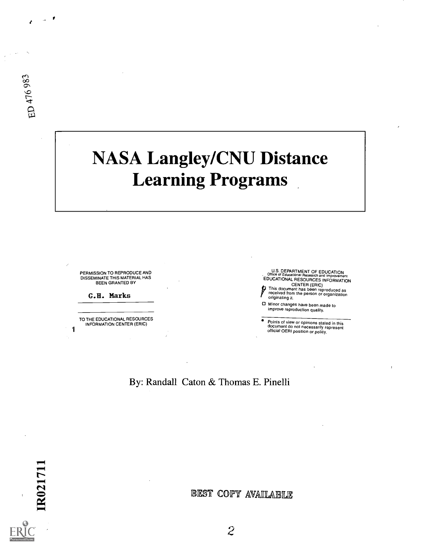# NASA Langley/CNU Distance Learning Programs

PERMISSION TO REPRODUCE AND DISSEMINATE THIS MATERIAL HAS BEEN GRANTED BY

G.H. Marks

 $\mathbf{1}$ 

TO THE EDUCATIONAL RESOURCES INFORMATION CENTER (ERIC)

U.S. DEPARTMENT OF EDUCATION<br>Office of Educational Research and Improvement<br>EDUCATIONAL RESOURCES INFORMATION

CENTER (ERIC) pThis document has been reproduced as received from the person or organization originating it,

Minor changes have been made to improve reproduction quality.

Points of view or opinions stated in this document do not necessarily represent official OERI position or policy.

By: Randall Caton & Thomas E. Pinelli

BEST COPY AVAILABLE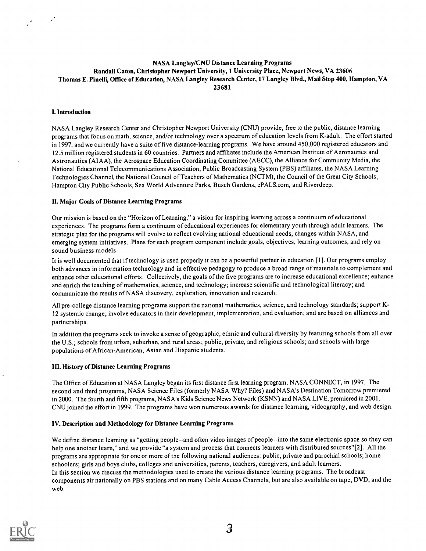## NASA Langley/CNU Distance Learning Programs Randall Caton, Christopher Newport University, 1 University Place, Newport News, VA 23606 Thomas E. Pinelli, Office of Education, NASA Langley Research Center, 17 Langley Blvd., Mail Stop 400, Hampton, VA 23681

## I. Introduction

 $\mathcal{L}$ 

NASA Langley Research Center and Christopher Newport University (CNU) provide, free to the public, distance learning programs that focus on math, science, and/or technology over a spectrum of education levels from K-adult. The effort started in 1997, and we currently have a suite of five distance-learning programs. We have around 450,000 registered educators and 12.5 million registered students in 60 countries. Partners and affiliates include the American Institute of Aeronautics and Astronautics (AIAA), the Aerospace Education Coordinating Committee (AECC), the Alliance for Community Media, the National Educational Telecommunications Association, Public Broadcasting System (PBS) affiliates, the NASA Learning Technologies Channel, the National Council of Teachers of Mathematics (NCTM), the Council of the Great City Schools , Hampton City Public Schools, Sea World Adventure Parks, Busch Gardens, ePALS.com, and Riverdeep.

## H. Major Goals of Distance Learning Programs

Our mission is based on the "Horizon of Learning," a vision for inspiring learning across a continuum of educational experiences. The programs form a continuum of educational experiences for elementary youth through adult learners. The strategic plan for the programs will evolve to reflect evolving national educational needs, changes within NASA, and emerging system initiatives. Plans for each program component include goals, objectives, learning outcomes, and rely on sound business models.

It is well documented that if technology is used properly it can be a powerful partner in education [1]. Our programs employ both advances in information technology and in effective pedagogy to produce a broad range of materials to complement and enhance other educational efforts. Collectively, the goals of the five programs are to increase educational excellence; enhance and enrich the teaching of mathematics, science, and technology; increase scientific and technological literacy; and communicate the results of NASA discovery, exploration, innovation and research.

All pre-college distance learning programs support the national mathematics, science, and technology standards; support K-12 systemic change; involve educators in their development, implementation, and evaluation; and are based on alliances and partnerships.

In addition the programs seek to invoke a sense of geographic, ethnic and cultural diversity by featuring schools from all over the U.S.; schools from urban, suburban, and rural areas; public, private, and religious schools; and schools with large populations of African-American, Asian and Hispanic students.

## III. History of Distance Learning Programs

The Office of Education at NASA Langley began its first distance first learning program, NASA CONNECT, in 1997. The second and third programs, NASA Science Files (formerly NASA Why? Files) and NASA's Destination Tomorrow premiered in 2000. The fourth and fifth programs, NASA's Kids Science News Network (KSNN) and NASA LIVE, premiered in 2001. CNU joined the effort in 1999. The programs have won numerous awards for distance learning, videography, and web design.

## IV. Description and Methodology for Distance Learning Programs

We define distance learning as "getting people--and often video images of people--into the same electronic space so they can help one another learn," and we provide "a system and process that connects learners with distributed sources"[2]. All the programs are appropriate for one or more of the following national audiences: public, private and parochial schools; home schoolers; girls and boys clubs, colleges and universities, parents, teachers, caregivers, and adult learners. In this section we discuss the methodologies used to create the various distance learning programs. The broadcast components air nationally on PBS stations and on many Cable Access Channels, but are also available on tape, DVD, and the web.

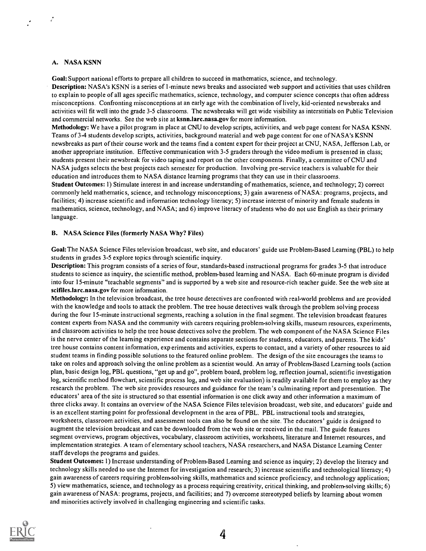## A. NASA KSNN

 $\mathcal{L}$ 

Goal: Support national efforts to prepare all children to succeed in mathematics, science, and technology.

Description: NASA's KSNN is a series of 1-minute news breaks and associated web support and activities that uses children to explain to people of all ages specific mathematics, science, technology, and computer science concepts that often address misconceptions. Confronting misconceptions at an early age with the combination of lively, kid-oriented newsbreaks and activities will fit well into the grade 3-5 classrooms. The newsbreaks will get wide visibility as interstitials on Public Television and commercial networks. See the web site at ksnn.larc.nasa.gov for more information.

Methodology: We have a pilot program in place at CNU to develop scripts, activities, and web page content for NASA KSNN. Teams of 3-4 students develop scripts, activities, background material and web page content for one of NASA's KSNN newsbreaks as part of their course work and the teams find a content expert for their project at CNU, NASA, Jefferson Lab, or another appropriate institution. Effective communication with 3-5 graders through the video medium is presented in class; students present their newsbreak for video taping and report on the other components. Finally, a committee of CNU and NASA judges selects the best projects each semester for production. Involving pre-service teachers is valuable for their education and introduces them to NASA distance learning programs that they can use in their classrooms.

Student Outcomes: 1) Stimulate interest in and increase understanding of mathematics, science, and technology; 2) correct commonly held mathematics, science, and technology misconceptions; 3) gain awareness of NASA: programs, projects, and facilities; 4) increase scientific and information technology literacy; 5) increase interest of minority and female students in mathematics, science, technology, and NASA; and 6) improve literacy of students who do not use English as their primary language.

## B. NASA Science Files (formerly NASA Why? Files)

Goal: The NASA Science Files television broadcast, web site, and educators' guide use Problem-Based Learning (PBL) to help students in grades 3-5 explore topics through scientific inquiry.

Description: This program consists of a series of four, standards-based instructional programs for grades 3-5 that introduce students to science as inquiry, the scientific method, problem-based learning and NASA. Each 60-minute program is divided into four 15-minute "teachable segments" and is supported by a web site and resource-rich teacher guide. See the web site at scifiles.larc.nasa.gov for more information.

Methodology: In the television broadcast, the tree house detectives are confronted with real-world problems and are provided with the knowledge and tools to attack the problem. The tree house detectives walk through the problem solving process during the four 15-minute instructional segments, reaching a solution in the final segment. The television broadcast features content experts from NASA and the community with careers requiring problem-solving skills, museum resources, experiments, and classroom activities to help the tree house detectives solve the problem. The web component of the NASA Science Files is the nerve center of the learning experience and contains separate sections for students, educators, and parents. The kids' tree house contains content information, exp eriments and activities, experts to contact, and a variety of other resources to aid student teams in finding possible solutions to the featured online problem. The design of the site encourages the teams to take on roles and approach solving the online problem as a scientist would. An array of Problem-Based Learning tools (action plan, basic design log, PBL questions, "get up and go", problem board, problem log, reflection journal, scientific investigation log, scientific method flowchart, scientific process log, and web site evaluation) is readily available for them to employ as they research the problem. The web site provides resources and guidance for the team's culminating report and presentation. The educators' area of the site is structured so that essential information is one click away and other information a maximum of three clicks away. It contains an overview of the NASA Science Files television broadcast, web site, and educators' guide and is an excellent starting point for professional development in the area of PBL. PBL instructional tools and strategies, worksheets, classroom activities, and assessment tools can also be found on the site. The educators' guide is designed to augment the television broadcast and can be downloaded from the web site or received in the mail. The guide features segment overviews, program objectives, vocabulary, classroom activities, worksheets, literature and Internet resources, and implementation strategies. A team of elementary school teachers, NASA researchers, and NASA Distance Learning Center staff develops the programs and guides.

Student Outcomes: 1) Increase understanding of Problem-Based Learning and science as inquiry; 2) develop the literacy and technology skills needed to use the Internet for investigation and research; 3) increase scientific and technological literacy; 4) gain awareness of careers requiring problem-solving skills, mathematics and science proficiency, and technology application; 5) view mathematics, science, and technology as a process requiring creativity, critical thinking, and problem-solving skills; 6) gain awareness of NASA: programs, projects, and facilities; and 7) overcome stereotyped beliefs by learning about women and minorities actively involved in challenging engineering and scientific tasks.

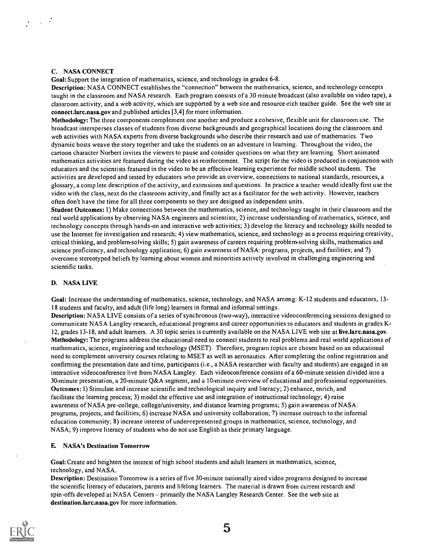## C. NASA CONNECT

Goal: Support the integration of mathematics, science, and technology in grades 6-8.

Description: NASA CONNECT establishes the "connection" between the mathematics, science, and technology concepts taught in the classroom and NASA research. Each program consists of a 30 minute broadcast (also available on video tape), a classroom activity, and a web activity, which are supported by a web site and resource-rich teacher guide. See the web site at connect.larc.nasa.gov and published articles [3,4] for more information.

Methodology: The three components complement one another and produce a cohesive, flexible unit for classroom use. The broadcast intersperses classes of students from diverse backgrounds and geographical locations doing the classroom and web activities with NASA experts from diverse backgrounds who describe their research and use of mathematics. Two dynamic hosts weave the story together and take the students on an adventure in learning. Throughout the video, the cartoon character Norbert invites the viewers to pause and consider questions on what they are learning. Short animated mathematics activities are featured during the video as reinforcement. The script for the video is produced in conjunction with educators and the scientists featured in the video to be an effective learning experience for middle school students. The activities are developed and tested by educators who provide an overview, connections to national standards, resources, a glossary, a comp lete description of the activity, and extensions and questions. In practice a teacher would ideally first use the video with the class, next do the classroom activity, and finally act as a facilitator for the web activity. However, teachers often don't have the time for all three components so they are designed as independent units.

Student Outcomes: 1) Make connections between the mathematics, science, and technology taught in their classroom and the real world applications by observing NASA engineers and scientists; 2) increase understanding of mathematics, science, and technology concepts through hands-on and interactive web activities; 3) develop the literacy and technology skills needed to use the Internet for investigation and research; 4) view mathematics, science, and technology as a process requiring creativity, critical thinking, and problem-solving skills; 5) gain awareness of careers requiring problem-solving skills, mathematics and science proficiency, and technology application; 6) gain awareness of NASA: programs, projects, and facilities; and 7) overcome stereotyped beliefs by learning about women and minorities actively involved in challenging engineering and scientific tasks.

## D. NASA LIVE

Goal: Increase the understanding of mathematics, science, technology, and NASA among: K-12 students and educators, 13- 18 students and faculty, and adult (life long) learners in formal and informal settings.

Description: NASA LIVE consists of a series of synchronous (two-way), interactive videoconferencing sessions designed to communicate NASA Langley research, educational programs and career opportunities to educators and students in grades K-12, grades 13-18, and adult learners. A 30 topic series is currently available on the NASA LIVE web site at live.larc.nasa.gov. Methodology: The programs address the educational need to connect students to real problems and real world applications of mathematics, science, engineering and technology (MSET). Therefore, program topics are chosen based on an educational need to complement university courses relating to MSET as well as aeronautics. After completing the online registration and confirming the presentation date and time, participants (i.e., a NASA researcher with faculty and students) are engaged in an interactive videoconference live from NASA Langley. Each videoconference consists of a 60-minute session divided into a 30-minute presentation, a 20-minute Q&A segment, and a 10-minute overview of educational and professional opportunities. Outcomes: 1) Stimulate and increase scientific and technological inquiry and literacy; 2) enhance, enrich, and facilitate the learning process; 3) model the effective use and integration of instructional technology; 4) raise awareness of NASA pre-college, college/university, and distance learning programs; 5) gain awareness of NASA: programs, projects, and facilities; 6) increase NASA and university collaboration; 7) increase outreach to the informal education community; 8) increase interest of under-represented groups in mathematics, science, technology, and NASA; 9) improve literacy of students who do not use English as their primary language.

## E NASA's Destination Tomorrow

Goal: Create and heighten the interest of high school students and adult learners in mathematics, science, technology, and NASA.

Description: Destination Tomorrow is a series of five 30-minute nationally aired video programs designed to increase the scientific literacy of educators, parents and lifelong learners. The material is drawn from current research and spin-offs developed at NASA Centers – primarily the NASA Langley Research Center. See the web site at destination.larc.nasa.gov for more information.

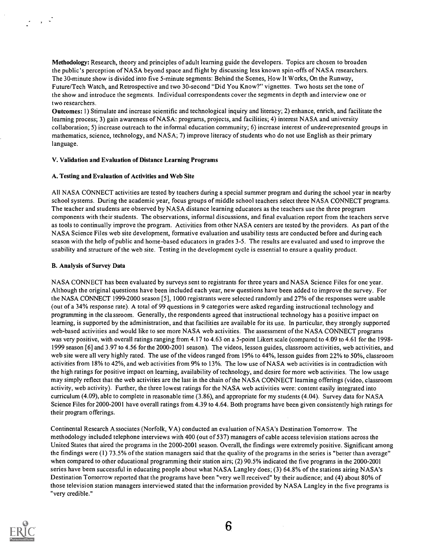Methodology: Research, theory and principles of adult learning guide the developers. Topics are chosen to broaden the public's perception of NASA beyond space and flight by discussing less known spin-offs of NASA researchers. The 30-minute show is divided into five 5-minute segments: Behind the Scenes, How It Works, On the Runway, Future/Tech Watch, and Retrospective and two 30-second "Did You Know?" vignettes. Two hosts set the tone of the show and introduce the segments. Individual correspondents cover the segments in depth and interview one or two researchers.

Outcomes: 1) Stimulate and increase scientific and technological inquiry and literacy; 2) enhance, enrich, and facilitate the learning process; 3) gain awareness of NASA: programs, projects, and facilities; 4) interest NASA and university collaboration; 5) increase outreach to the informal education community; 6) increase interest of under-represented groups in mathematics, science, technology, and NASA; 7) improve literacy of students who do not use English as their primary language.

#### V. Validation and Evaluation of Distance Learning Programs

#### A. Testing and Evaluation of Activities and Web Site

All NASA CONNECT activities are tested by teachers during a special summer program and during the school year in nearby school systems. During the academic year, focus groups of middle school teachers select three NASA CONNECT programs. The teacher and students are observed by NASA distance learning educators as the teachers use the three program components with their students. The observations, informal discussions, and final evaluation report from the teachers serve as tools to continually improve the program. Activities from other NASA centers are tested by the providers. As part of the NASA Science Files web site development, formative evaluation and usability tests are conducted before and during each season with the help of public and home-based educators in grades 3-5. The results are evaluated and used to improve the usability and structure of the web site. Testing in the development cycle is essential to ensure a quality product.

## B. Analysis of Survey Data

 $\mathbb{R}^n \times \mathbb{R}^n$ 

NASA CONNECT has been evaluated by surveys sent to registrants for three years and NASA Science Files for one year. Although the original questions have been included each year, new questions have been added to improve the survey. For the NASA CONNECT 1999-2000 season [5], 1000 registrants were selected randomly and 27% of the responses were usable (out of a 34% response rate). A total of 99 questions in 9 categories were asked regarding instructional technology and programming in the classroom. Generally, the respondents agreed that instructional technology has a positive impact on learning, is supported by the administration, and that facilities are available for its use. In particular, they strongly supported web-based activities and would like to see more NASA web activities. The assessment of the NASA CONNECT programs was very positive, with overall ratings ranging from 4.17 to 4.63 on a 5-point Likert scale (compared to 4.09 to 4.61 for the 1998- 1999 season [6] and 3.97 to 4.56 for the 2000-2001 season). The videos, lesson guides, classroom activities, web activities, and web site were all very highly rated. The use of the videos ranged from 19% to 44%, lesson guides from 22% to 50%, classroom activities from 18% to 42%, and web activities from 9% to 13%. The low use of NASA web activities is in contradiction with the high ratings for positive impact on learning, availability of technology, and desire for more web activities. The low usage may simply reflect that the web activities are the last in the chain of the NASA CONNECT learning offerings (video, classroom activity, web activity). Further, the three lowest ratings for the NASA web activities were: content easily integrated into curriculum (4.09), able to complete in reasonable time (3.86), and appropriate for my students (4.04). Survey data for NASA Science Files for 2000-2001 have overall ratings from 4.39 to 4.64. Both programs have been given consistently high ratings for their program offerings.

Continental Research Associates (Norfolk, VA) conducted an evaluation of NASA's Destination Tomorrow. The methodology included telephone interviews with 400 (out of 537) managers of cable access television stations across the United States that aired the programs in the 2000-2001 season. Overall, the findings were extremely positive. Significant among the findings were (1) 73.5% of the station managers said that the quality of the programs in the series is "better than average" when compared to other educational programming their station airs; (2) 90.5% indicated the five programs in the 2000-2001 series have been successful in educating people about what NASA Langley does; (3) 64.8% of the stations airing NASA's Destination Tomorrow reported that the programs have been "very well received" by their audience; and (4) about 80% of those television station managers interviewed stated that the information provided by NASA Langley in the five programs is "very credible."



6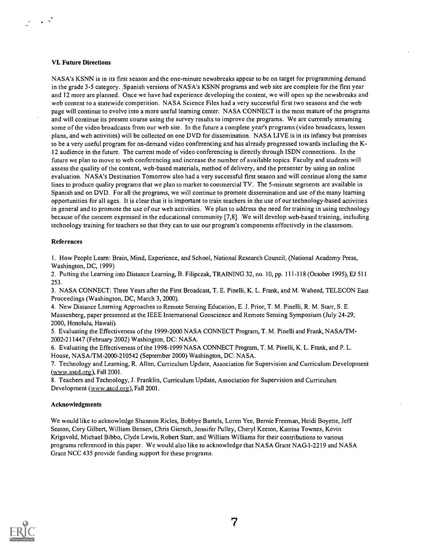## VI. Future Directions

 $\sim$   $\sim$ 

NASA's KSNN is in its first season and the one-minute newsbreaks appear to be on target for programming demand in the grade 3-5 category. Spanish versions of NASA's KSNN programs and web site are complete for the first year and 12 more are planned. Once we have had experience developing the content, we will open up the newsbreaks and web content to a statewide competition. NASA Science Files had a very successful first two seasons and the web page will continue to evolve into a more useful learning center. NASA CONNECT is the most mature of the programs and will continue its present course using the survey results to improve the programs. We are currently streaming some of the video broadcasts from our web site. In the future a complete year's programs (video broadcasts, lesson plans, and web activities) will be collected on one DVD for dissemination. NASA LIVE is in its infancy but promises to be a very useful program for on-demand video conferencing and has already progressed towards including the K-12 audience in the future. The current mode of video conferencing is directly through ISDN connections. In the future we plan to move to web conferencing and increase the number of available topics. Faculty and students will assess the quality of the content, web-based materials, method of delivery, and the presenter by using an online evaluation. NASA's Destination Tomorrow also had a very successful first season and will continue along the same lines to produce quality programs that we plan to market to commercial TV. The 5-minute segments are available in Spanish and on DVD. For all the programs, we will continue to promote dissemination and use of the many learning opportunities for all ages. It is clear that it is important to train teachers in the use of our technology-based activities in general and to promote the use of our web activities. We plan to address the need for training in using technology because of the concern expressed in the educational community [7,8]. We will develop web-based training, including technology training for teachers so that they can to use our program's components effectively in the classroom.

## References

1. How People Learn: Brain, Mind, Experience, and School, National Research Council, (National Academy Press, Washington, DC, 1999)

2. Putting the Learning into Distance Learning, B. Filipczak, TRAINING 32, no. 10, pp. 111-118 (October 1995), EJ 511 253.

3. NASA CONNECT: Three Years after the First Broadcast, T. E. Pinelli, K. L. Frank, and M. Waheed, TELECON East Proceedings (Washington, DC, March 3, 2000).

4. New Distance Learning Approaches to Remote Sensing Education, E. J. Prior, T. M. Pinelli, R. M. Starr, S. E. Massenberg, paper presented at the IEEE International Geoscience and Remote Sensing Symposium (July 24-29, 2000, Honolulu, Hawaii).

5. Evaluating the Effectiveness of the 1999-2000 NASA CONNECT Program, T. M. Pinelli and Frank, NASA/TM-2002-211447 (February 2002) Washington, DC: NASA.

6. Evaluating the Effectiveness of the 1998-1999 NASA CONNECT Program, T. M. Pinelli, K. L. Frank, and P. L. House, NASA/TM-2000-210542 (September 2000) Washington, DC: NASA.

7. Technology and Learning, R. Allen, Curriculum Update, Association for Supervision and Curriculum Development (www.ascd.org), Fall 2001.

8. Teachers and Technology, J. Franklin, Curriculum Update, Association for Supervision and Curriculum Development (www.ascd.org), Fall 2001.

## Acknowledgments

We would like to acknowledge Shannon Ricles, Bobbye Bartels, Loren Yee, Bernie Freeman, Heidi Boyette, Jeff Seaton, Cory Gilbert, William Bensen, Chris Giersch, Jennifer Pulley, Cheryl Keeton, Katrina Townes, Kevin Krigsvold, Michael Bibbo, Clyde Lewis, Robert Starr, and William Williams for their contributions to various programs referenced in this paper. We would also like to acknowledge that NASA Grant NAG1-2219 and NASA Grant NCC 435 provide funding support for these programs.